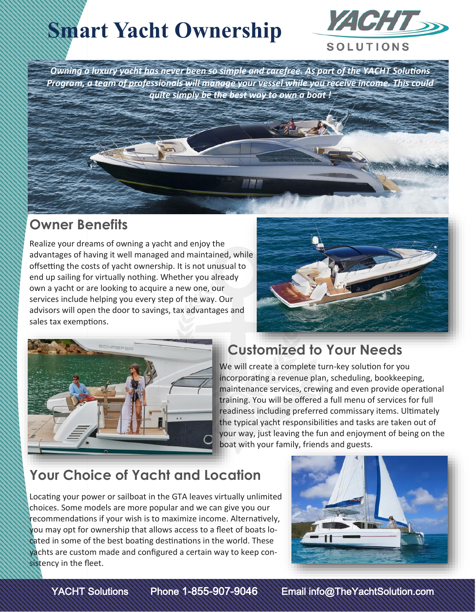# **Smart Yacht Ownership**



*Owning a luxury yacht has never been so simple and carefree. As part of the YACHT Solutions Program, a team of professionals will manage your vessel while you receive income. This could quite simply be the best way to own a boat !*

#### **Owner Benefits**

Realize your dreams of owning a yacht and enjoy the advantages of having it well managed and maintained, while offsetting the costs of yacht ownership. It is not unusual to end up sailing for virtually nothing. Whether you already own a yacht or are looking to acquire a new one, our services include helping you every step of the way. Our advisors will open the door to savings, tax advantages and sales tax exemptions.





#### **Customized to Your Needs**

We will create a complete turn-key solution for you incorporating a revenue plan, scheduling, bookkeeping, maintenance services, crewing and even provide operational training. You will be offered a full menu of services for full readiness including preferred commissary items. Ultimately the typical yacht responsibilities and tasks are taken out of your way, just leaving the fun and enjoyment of being on the boat with your family, friends and guests.

## **Your Choice of Yacht and Location**

Locating your power or sailboat in the GTA leaves virtually unlimited choices. Some models are more popular and we can give you our recommendations if your wish is to maximize income. Alternatively, you may opt for ownership that allows access to a fleet of boats located in some of the best boating destinations in the world. These yachts are custom made and configured a certain way to keep consistency in the fleet.